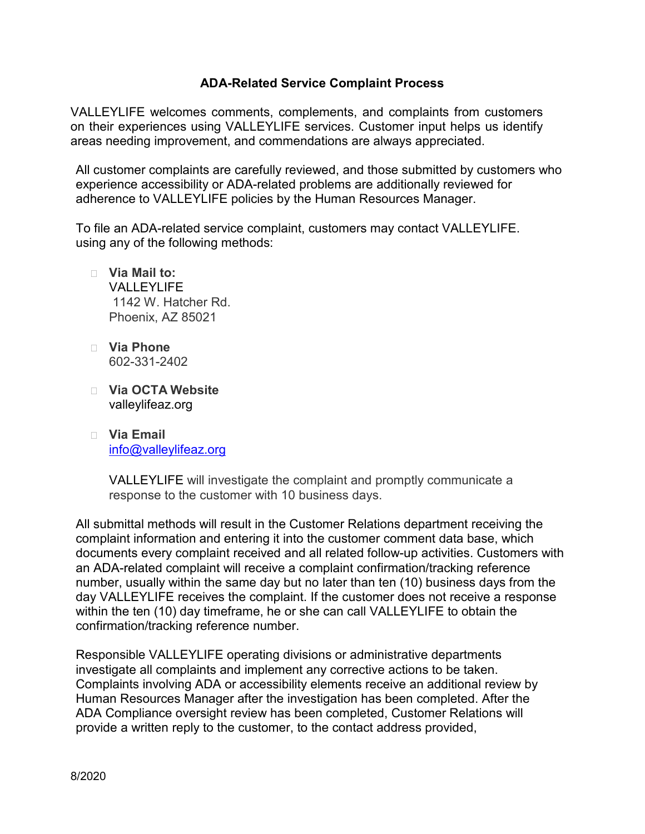## **ADA-Related Service Complaint Process**

VALLEYLIFE welcomes comments, complements, and complaints from customers on their experiences using VALLEYLIFE services. Customer input helps us identify areas needing improvement, and commendations are always appreciated.

All customer complaints are carefully reviewed, and those submitted by customers who experience accessibility or ADA-related problems are additionally reviewed for adherence to VALLEYLIFE policies by the Human Resources Manager.

To file an ADA-related service complaint, customers may contact VALLEYLIFE. using any of the following methods:

- **Via Mail to:** VALLEYLIFF 1142 W. Hatcher Rd. Phoenix, AZ 85021
- **Via Phone** 602-331-2402
- **Via OCTA Website** valleylifeaz.org
- **Via Email** [info@valleylifeaz.org](mailto:info@valleylifeaz.org)

VALLEYLIFE will investigate the complaint and promptly communicate a response to the customer with 10 business days.

All submittal methods will result in the Customer Relations department receiving the complaint information and entering it into the customer comment data base, which documents every complaint received and all related follow-up activities. Customers with an ADA-related complaint will receive a complaint confirmation/tracking reference number, usually within the same day but no later than ten (10) business days from the day VALLEYLIFE receives the complaint. If the customer does not receive a response within the ten (10) day timeframe, he or she can call VALLEYLIFE to obtain the confirmation/tracking reference number.

Responsible VALLEYLIFE operating divisions or administrative departments investigate all complaints and implement any corrective actions to be taken. Complaints involving ADA or accessibility elements receive an additional review by Human Resources Manager after the investigation has been completed. After the ADA Compliance oversight review has been completed, Customer Relations will provide a written reply to the customer, to the contact address provided,